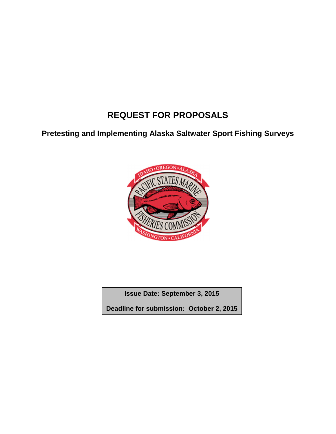# **REQUEST FOR PROPOSALS**

**Pretesting and Implementing Alaska Saltwater Sport Fishing Surveys** 



**Issue Date: September 3, 2015**

**Deadline for submission: October 2, 2015**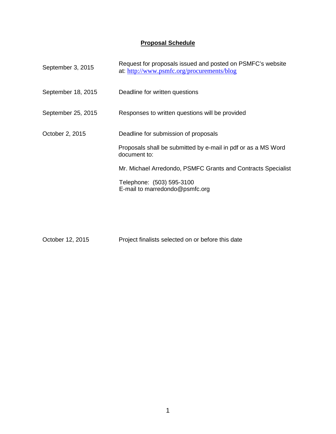#### **Proposal Schedule**

| Request for proposals issued and posted on PSMFC's website<br>at: http://www.psmfc.org/procurements/blog |
|----------------------------------------------------------------------------------------------------------|
| Deadline for written questions                                                                           |
| Responses to written questions will be provided                                                          |
| Deadline for submission of proposals                                                                     |
| Proposals shall be submitted by e-mail in pdf or as a MS Word<br>document to:                            |
| Mr. Michael Arredondo, PSMFC Grants and Contracts Specialist                                             |
| Telephone: (503) 595-3100<br>E-mail to marredondo@psmfc.org                                              |
|                                                                                                          |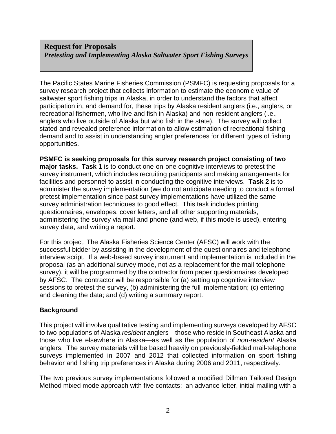#### **Request for Proposals**  *Pretesting and Implementing Alaska Saltwater Sport Fishing Surveys*

The Pacific States Marine Fisheries Commission (PSMFC) is requesting proposals for a survey research project that collects information to estimate the economic value of saltwater sport fishing trips in Alaska, in order to understand the factors that affect participation in, and demand for, these trips by Alaska resident anglers (i.e., anglers, or recreational fishermen, who live and fish in Alaska) and non-resident anglers (i.e., anglers who live outside of Alaska but who fish in the state). The survey will collect stated and revealed preference information to allow estimation of recreational fishing demand and to assist in understanding angler preferences for different types of fishing opportunities.

**PSMFC is seeking proposals for this survey research project consisting of two major tasks. Task 1** is to conduct one-on-one cognitive interviews to pretest the survey instrument, which includes recruiting participants and making arrangements for facilities and personnel to assist in conducting the cognitive interviews. **Task 2** is to administer the survey implementation (we do not anticipate needing to conduct a formal pretest implementation since past survey implementations have utilized the same survey administration techniques to good effect. This task includes printing questionnaires, envelopes, cover letters, and all other supporting materials, administering the survey via mail and phone (and web, if this mode is used), entering survey data, and writing a report.

For this project, The Alaska Fisheries Science Center (AFSC) will work with the successful bidder by assisting in the development of the questionnaires and telephone interview script. If a web-based survey instrument and implementation is included in the proposal (as an additional survey mode, not as a replacement for the mail-telephone survey), it will be programmed by the contractor from paper questionnaires developed by AFSC. The contractor will be responsible for (a) setting up cognitive interview sessions to pretest the survey, (b) administering the full implementation; (c) entering and cleaning the data; and (d) writing a summary report.

#### **Background**

This project will involve qualitative testing and implementing surveys developed by AFSC to two populations of Alaska resident anglers—those who reside in Southeast Alaska and those who live elsewhere in Alaska—as well as the population of non-resident Alaska anglers. The survey materials will be based heavily on previously-fielded mail-telephone surveys implemented in 2007 and 2012 that collected information on sport fishing behavior and fishing trip preferences in Alaska during 2006 and 2011, respectively.

The two previous survey implementations followed a modified Dillman Tailored Design Method mixed mode approach with five contacts: an advance letter, initial mailing with a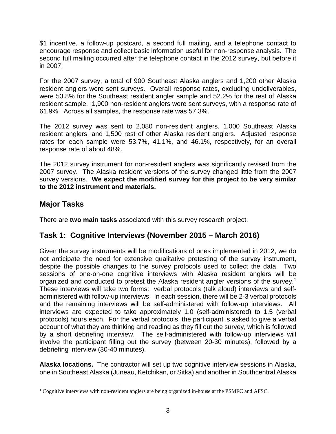\$1 incentive, a follow-up postcard, a second full mailing, and a telephone contact to encourage response and collect basic information useful for non-response analysis. The second full mailing occurred after the telephone contact in the 2012 survey, but before it in 2007.

For the 2007 survey, a total of 900 Southeast Alaska anglers and 1,200 other Alaska resident anglers were sent surveys. Overall response rates, excluding undeliverables, were 53.8% for the Southeast resident angler sample and 52.2% for the rest of Alaska resident sample. 1,900 non-resident anglers were sent surveys, with a response rate of 61.9%. Across all samples, the response rate was 57.3%.

The 2012 survey was sent to 2,080 non-resident anglers, 1,000 Southeast Alaska resident anglers, and 1,500 rest of other Alaska resident anglers. Adjusted response rates for each sample were 53.7%, 41.1%, and 46.1%, respectively, for an overall response rate of about 48%.

The 2012 survey instrument for non-resident anglers was significantly revised from the 2007 survey. The Alaska resident versions of the survey changed little from the 2007 survey versions. **We expect the modified survey for this project to be very similar to the 2012 instrument and materials.**

### **Major Tasks**

<u>.</u>

There are **two main tasks** associated with this survey research project.

### **Task 1: Cognitive Interviews (November 2015 – March 2016)**

Given the survey instruments will be modifications of ones implemented in 2012, we do not anticipate the need for extensive qualitative pretesting of the survey instrument, despite the possible changes to the survey protocols used to collect the data. Two sessions of one-on-one cognitive interviews with Alaska resident anglers will be organized and conducted to pretest the Alaska resident angler versions of the survey.<sup>1</sup> These interviews will take two forms: verbal protocols (talk aloud) interviews and selfadministered with follow-up interviews. In each session, there will be 2-3 verbal protocols and the remaining interviews will be self-administered with follow-up interviews. All interviews are expected to take approximately 1.0 (self-administered) to 1.5 (verbal protocols) hours each. For the verbal protocols, the participant is asked to give a verbal account of what they are thinking and reading as they fill out the survey, which is followed by a short debriefing interview. The self-administered with follow-up interviews will involve the participant filling out the survey (between 20-30 minutes), followed by a debriefing interview (30-40 minutes).

**Alaska locations.** The contractor will set up two cognitive interview sessions in Alaska, one in Southeast Alaska (Juneau, Ketchikan, or Sitka) and another in Southcentral Alaska

<sup>&</sup>lt;sup>1</sup> Cognitive interviews with non-resident anglers are being organized in-house at the PSMFC and AFSC.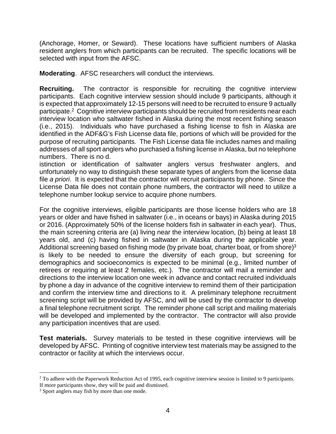(Anchorage, Homer, or Seward). These locations have sufficient numbers of Alaska resident anglers from which participants can be recruited. The specific locations will be selected with input from the AFSC.

**Moderating**. AFSC researchers will conduct the interviews.

**Recruiting.** The contractor is responsible for recruiting the cognitive interview participants. Each cognitive interview session should include 9 participants, although it is expected that approximately 12-15 persons will need to be recruited to ensure 9 actually participate.<sup>2</sup> Cognitive interview participants should be recruited from residents near each interview location who saltwater fished in Alaska during the most recent fishing season (i.e., 2015). Individuals who have purchased a fishing license to fish in Alaska are identified in the ADF&G's Fish License data file, portions of which will be provided for the purpose of recruiting participants. The Fish License data file includes names and mailing addresses of all sport anglers who purchased a fishing license in Alaska, but no telephone numbers. There is no d.

istinction or identification of saltwater anglers versus freshwater anglers, and unfortunately no way to distinguish these separate types of anglers from the license data file a priori. It is expected that the contractor will recruit participants by phone. Since the License Data file does not contain phone numbers, the contractor will need to utilize a telephone number lookup service to acquire phone numbers.

For the cognitive interviews, eligible participants are those license holders who are 18 years or older and have fished in saltwater (i.e., in oceans or bays) in Alaska during 2015 or 2016. (Approximately 50% of the license holders fish in saltwater in each year). Thus, the main screening criteria are (a) living near the interview location, (b) being at least 18 years old, and (c) having fished in saltwater in Alaska during the applicable year. Additional screening based on fishing mode (by private boat, charter boat, or from shore) $3$ is likely to be needed to ensure the diversity of each group, but screening for demographics and socioeconomics is expected to be minimal (e.g., limited number of retirees or requiring at least 2 females, etc.). The contractor will mail a reminder and directions to the interview location one week in advance and contact recruited individuals by phone a day in advance of the cognitive interview to remind them of their participation and confirm the interview time and directions to it. A preliminary telephone recruitment screening script will be provided by AFSC, and will be used by the contractor to develop a final telephone recruitment script. The reminder phone call script and mailing materials will be developed and implemented by the contractor. The contractor will also provide any participation incentives that are used.

**Test materials.** Survey materials to be tested in these cognitive interviews will be developed by AFSC. Printing of cognitive interview test materials may be assigned to the contractor or facility at which the interviews occur.

<sup>&</sup>lt;u>.</u> <sup>2</sup> To adhere with the Paperwork Reduction Act of 1995, each cognitive interview session is limited to 9 participants. If more participants show, they will be paid and dismissed.

<sup>&</sup>lt;sup>3</sup> Sport anglers may fish by more than one mode.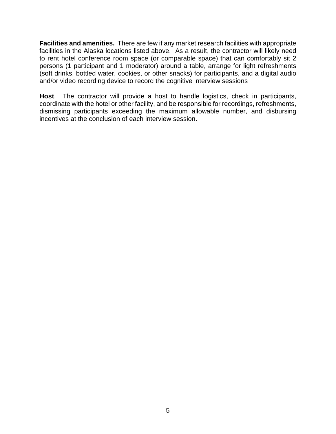**Facilities and amenities.** There are few if any market research facilities with appropriate facilities in the Alaska locations listed above. As a result, the contractor will likely need to rent hotel conference room space (or comparable space) that can comfortably sit 2 persons (1 participant and 1 moderator) around a table, arrange for light refreshments (soft drinks, bottled water, cookies, or other snacks) for participants, and a digital audio and/or video recording device to record the cognitive interview sessions

**Host**. The contractor will provide a host to handle logistics, check in participants, coordinate with the hotel or other facility, and be responsible for recordings, refreshments, dismissing participants exceeding the maximum allowable number, and disbursing incentives at the conclusion of each interview session.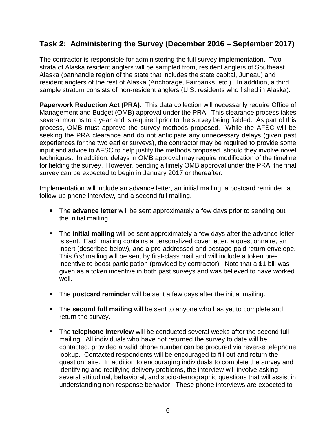## **Task 2: Administering the Survey (December 2016 – September 2017)**

The contractor is responsible for administering the full survey implementation. Two strata of Alaska resident anglers will be sampled from, resident anglers of Southeast Alaska (panhandle region of the state that includes the state capital, Juneau) and resident anglers of the rest of Alaska (Anchorage, Fairbanks, etc.). In addition, a third sample stratum consists of non-resident anglers (U.S. residents who fished in Alaska).

Paperwork Reduction Act (PRA). This data collection will necessarily require Office of Management and Budget (OMB) approval under the PRA. This clearance process takes several months to a year and is required prior to the survey being fielded. As part of this process, OMB must approve the survey methods proposed. While the AFSC will be seeking the PRA clearance and do not anticipate any unnecessary delays (given past experiences for the two earlier surveys), the contractor may be required to provide some input and advice to AFSC to help justify the methods proposed, should they involve novel techniques. In addition, delays in OMB approval may require modification of the timeline for fielding the survey. However, pending a timely OMB approval under the PRA, the final survey can be expected to begin in January 2017 or thereafter.

Implementation will include an advance letter, an initial mailing, a postcard reminder, a follow-up phone interview, and a second full mailing.

- **The advance letter** will be sent approximately a few days prior to sending out the initial mailing.
- The **initial mailing** will be sent approximately a few days after the advance letter is sent. Each mailing contains a personalized cover letter, a questionnaire, an insert (described below), and a pre-addressed and postage-paid return envelope. This first mailing will be sent by first-class mail and will include a token preincentive to boost participation (provided by contractor). Note that a \$1 bill was given as a token incentive in both past surveys and was believed to have worked well.
- The **postcard reminder** will be sent a few days after the initial mailing.
- **The second full mailing** will be sent to anyone who has yet to complete and return the survey.
- The **telephone interview** will be conducted several weeks after the second full mailing. All individuals who have not returned the survey to date will be contacted, provided a valid phone number can be procured via reverse telephone lookup. Contacted respondents will be encouraged to fill out and return the questionnaire. In addition to encouraging individuals to complete the survey and identifying and rectifying delivery problems, the interview will involve asking several attitudinal, behavioral, and socio-demographic questions that will assist in understanding non-response behavior. These phone interviews are expected to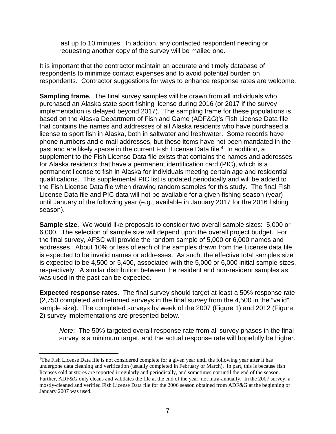last up to 10 minutes. In addition, any contacted respondent needing or requesting another copy of the survey will be mailed one.

It is important that the contractor maintain an accurate and timely database of respondents to minimize contact expenses and to avoid potential burden on respondents. Contractor suggestions for ways to enhance response rates are welcome.

**Sampling frame.** The final survey samples will be drawn from all individuals who purchased an Alaska state sport fishing license during 2016 (or 2017 if the survey implementation is delayed beyond 2017). The sampling frame for these populations is based on the Alaska Department of Fish and Game (ADF&G)'s Fish License Data file that contains the names and addresses of all Alaska residents who have purchased a license to sport fish in Alaska, both in saltwater and freshwater. Some records have phone numbers and e-mail addresses, but these items have not been mandated in the past and are likely sparse in the current Fish License Data file.<sup>4</sup> In addition, a supplement to the Fish License Data file exists that contains the names and addresses for Alaska residents that have a permanent identification card (PIC), which is a permanent license to fish in Alaska for individuals meeting certain age and residential qualifications. This supplemental PIC list is updated periodically and will be added to the Fish License Data file when drawing random samples for this study. The final Fish License Data file and PIC data will not be available for a given fishing season (year) until January of the following year (e.g., available in January 2017 for the 2016 fishing season).

**Sample size.** We would like proposals to consider two overall sample sizes: 5,000 or 6,000. The selection of sample size will depend upon the overall project budget. For the final survey, AFSC will provide the random sample of 5,000 or 6,000 names and addresses. About 10% or less of each of the samples drawn from the License data file is expected to be invalid names or addresses. As such, the effective total samples size is expected to be 4,500 or 5,400, associated with the 5,000 or 6,000 initial sample sizes, respectively. A similar distribution between the resident and non-resident samples as was used in the past can be expected.

**Expected response rates.** The final survey should target at least a 50% response rate (2,750 completed and returned surveys in the final survey from the 4,500 in the "valid" sample size). The completed surveys by week of the 2007 (Figure 1) and 2012 (Figure 2) survey implementations are presented below.

Note: The 50% targeted overall response rate from all survey phases in the final survey is a minimum target, and the actual response rate will hopefully be higher.

 $\overline{a}$ 

<sup>4</sup>The Fish License Data file is not considered complete for a given year until the following year after it has undergone data cleaning and verification (usually completed in February or March). In part, this is because fish licenses sold at stores are reported irregularly and periodically, and sometimes not until the end of the season. Further, ADF&G only cleans and validates the file at the end of the year, not intra-annually. In the 2007 survey, a mostly-cleaned and verified Fish License Data file for the 2006 season obtained from ADF&G at the beginning of January 2007 was used.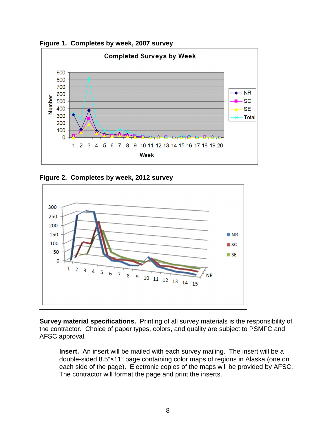**Figure 1. Completes by week, 2007 survey** 



**Figure 2. Completes by week, 2012 survey** 



**Survey material specifications.** Printing of all survey materials is the responsibility of the contractor. Choice of paper types, colors, and quality are subject to PSMFC and AFSC approval.

**Insert.** An insert will be mailed with each survey mailing. The insert will be a double-sided 8.5"×11" page containing color maps of regions in Alaska (one on each side of the page). Electronic copies of the maps will be provided by AFSC. The contractor will format the page and print the inserts.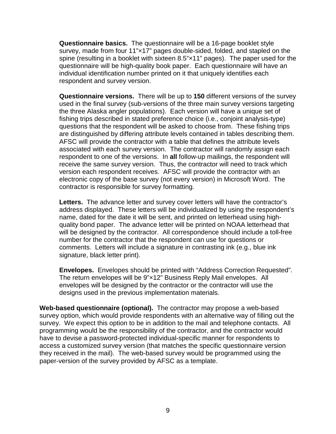**Questionnaire basics.** The questionnaire will be a 16-page booklet style survey, made from four 11"×17" pages double-sided, folded, and stapled on the spine (resulting in a booklet with sixteen 8.5"×11" pages). The paper used for the questionnaire will be high-quality book paper. Each questionnaire will have an individual identification number printed on it that uniquely identifies each respondent and survey version.

**Questionnaire versions.** There will be up to **150** different versions of the survey used in the final survey (sub-versions of the three main survey versions targeting the three Alaska angler populations). Each version will have a unique set of fishing trips described in stated preference choice (i.e., conjoint analysis-type) questions that the respondent will be asked to choose from. These fishing trips are distinguished by differing attribute levels contained in tables describing them. AFSC will provide the contractor with a table that defines the attribute levels associated with each survey version. The contractor will randomly assign each respondent to one of the versions. In **all** follow-up mailings, the respondent will receive the same survey version. Thus, the contractor will need to track which version each respondent receives. AFSC will provide the contractor with an electronic copy of the base survey (not every version) in Microsoft Word. The contractor is responsible for survey formatting.

**Letters.** The advance letter and survey cover letters will have the contractor's address displayed. These letters will be individualized by using the respondent's name, dated for the date it will be sent, and printed on letterhead using highquality bond paper. The advance letter will be printed on NOAA letterhead that will be designed by the contractor. All correspondence should include a toll-free number for the contractor that the respondent can use for questions or comments. Letters will include a signature in contrasting ink (e.g., blue ink signature, black letter print).

**Envelopes.** Envelopes should be printed with "Address Correction Requested". The return envelopes will be 9"×12" Business Reply Mail envelopes. All envelopes will be designed by the contractor or the contractor will use the designs used in the previous implementation materials.

**Web-based questionnaire (optional).** The contractor may propose a web-based survey option, which would provide respondents with an alternative way of filling out the survey. We expect this option to be in addition to the mail and telephone contacts. All programming would be the responsibility of the contractor, and the contractor would have to devise a password-protected individual-specific manner for respondents to access a customized survey version (that matches the specific questionnaire version they received in the mail). The web-based survey would be programmed using the paper-version of the survey provided by AFSC as a template.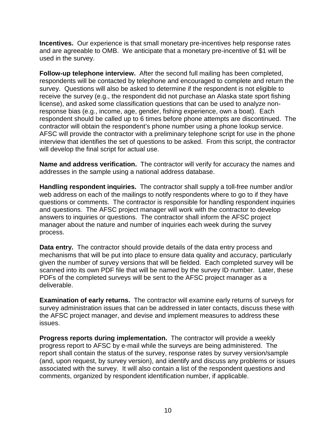**Incentives.** Our experience is that small monetary pre-incentives help response rates and are agreeable to OMB. We anticipate that a monetary pre-incentive of \$1 will be used in the survey.

**Follow-up telephone interview.** After the second full mailing has been completed, respondents will be contacted by telephone and encouraged to complete and return the survey. Questions will also be asked to determine if the respondent is not eligible to receive the survey (e.g., the respondent did not purchase an Alaska state sport fishing license), and asked some classification questions that can be used to analyze nonresponse bias (e.g., income, age, gender, fishing experience, own a boat). Each respondent should be called up to 6 times before phone attempts are discontinued. The contractor will obtain the respondent's phone number using a phone lookup service. AFSC will provide the contractor with a preliminary telephone script for use in the phone interview that identifies the set of questions to be asked. From this script, the contractor will develop the final script for actual use.

**Name and address verification.** The contractor will verify for accuracy the names and addresses in the sample using a national address database.

**Handling respondent inquiries.** The contractor shall supply a toll-free number and/or web address on each of the mailings to notify respondents where to go to if they have questions or comments. The contractor is responsible for handling respondent inquiries and questions. The AFSC project manager will work with the contractor to develop answers to inquiries or questions. The contractor shall inform the AFSC project manager about the nature and number of inquiries each week during the survey process.

**Data entry.** The contractor should provide details of the data entry process and mechanisms that will be put into place to ensure data quality and accuracy, particularly given the number of survey versions that will be fielded. Each completed survey will be scanned into its own PDF file that will be named by the survey ID number. Later, these PDFs of the completed surveys will be sent to the AFSC project manager as a deliverable.

**Examination of early returns.** The contractor will examine early returns of surveys for survey administration issues that can be addressed in later contacts, discuss these with the AFSC project manager, and devise and implement measures to address these issues.

**Progress reports during implementation.** The contractor will provide a weekly progress report to AFSC by e-mail while the surveys are being administered. The report shall contain the status of the survey, response rates by survey version/sample (and, upon request, by survey version), and identify and discuss any problems or issues associated with the survey. It will also contain a list of the respondent questions and comments, organized by respondent identification number, if applicable.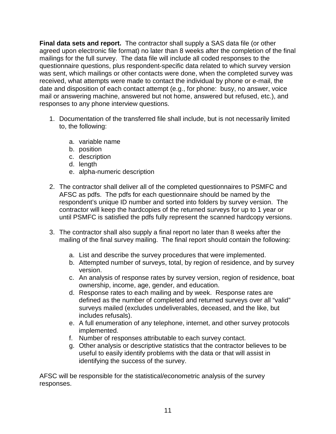**Final data sets and report.** The contractor shall supply a SAS data file (or other agreed upon electronic file format) no later than 8 weeks after the completion of the final mailings for the full survey. The data file will include all coded responses to the questionnaire questions, plus respondent-specific data related to which survey version was sent, which mailings or other contacts were done, when the completed survey was received, what attempts were made to contact the individual by phone or e-mail, the date and disposition of each contact attempt (e.g., for phone: busy, no answer, voice mail or answering machine, answered but not home, answered but refused, etc.), and responses to any phone interview questions.

- 1. Documentation of the transferred file shall include, but is not necessarily limited to, the following:
	- a. variable name
	- b. position
	- c. description
	- d. length
	- e. alpha-numeric description
- 2. The contractor shall deliver all of the completed questionnaires to PSMFC and AFSC as pdfs. The pdfs for each questionnaire should be named by the respondent's unique ID number and sorted into folders by survey version. The contractor will keep the hardcopies of the returned surveys for up to 1 year or until PSMFC is satisfied the pdfs fully represent the scanned hardcopy versions.
- 3. The contractor shall also supply a final report no later than 8 weeks after the mailing of the final survey mailing. The final report should contain the following:
	- a. List and describe the survey procedures that were implemented.
	- b. Attempted number of surveys, total, by region of residence, and by survey version.
	- c. An analysis of response rates by survey version, region of residence, boat ownership, income, age, gender, and education.
	- d. Response rates to each mailing and by week. Response rates are defined as the number of completed and returned surveys over all "valid" surveys mailed (excludes undeliverables, deceased, and the like, but includes refusals).
	- e. A full enumeration of any telephone, internet, and other survey protocols implemented.
	- f. Number of responses attributable to each survey contact.
	- g. Other analysis or descriptive statistics that the contractor believes to be useful to easily identify problems with the data or that will assist in identifying the success of the survey.

AFSC will be responsible for the statistical/econometric analysis of the survey responses.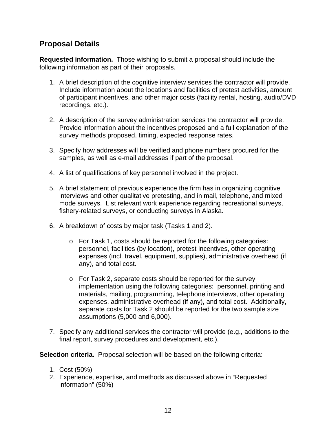### **Proposal Details**

**Requested information.** Those wishing to submit a proposal should include the following information as part of their proposals.

- 1. A brief description of the cognitive interview services the contractor will provide. Include information about the locations and facilities of pretest activities, amount of participant incentives, and other major costs (facility rental, hosting, audio/DVD recordings, etc.).
- 2. A description of the survey administration services the contractor will provide. Provide information about the incentives proposed and a full explanation of the survey methods proposed, timing, expected response rates,
- 3. Specify how addresses will be verified and phone numbers procured for the samples, as well as e-mail addresses if part of the proposal.
- 4. A list of qualifications of key personnel involved in the project.
- 5. A brief statement of previous experience the firm has in organizing cognitive interviews and other qualitative pretesting, and in mail, telephone, and mixed mode surveys. List relevant work experience regarding recreational surveys, fishery-related surveys, or conducting surveys in Alaska.
- 6. A breakdown of costs by major task (Tasks 1 and 2).
	- o For Task 1, costs should be reported for the following categories: personnel, facilities (by location), pretest incentives, other operating expenses (incl. travel, equipment, supplies), administrative overhead (if any), and total cost.
	- o For Task 2, separate costs should be reported for the survey implementation using the following categories: personnel, printing and materials, mailing, programming, telephone interviews, other operating expenses, administrative overhead (if any), and total cost. Additionally, separate costs for Task 2 should be reported for the two sample size assumptions (5,000 and 6,000).
- 7. Specify any additional services the contractor will provide (e.g., additions to the final report, survey procedures and development, etc.).

**Selection criteria.** Proposal selection will be based on the following criteria:

- 1. Cost (50%)
- 2. Experience, expertise, and methods as discussed above in "Requested information" (50%)